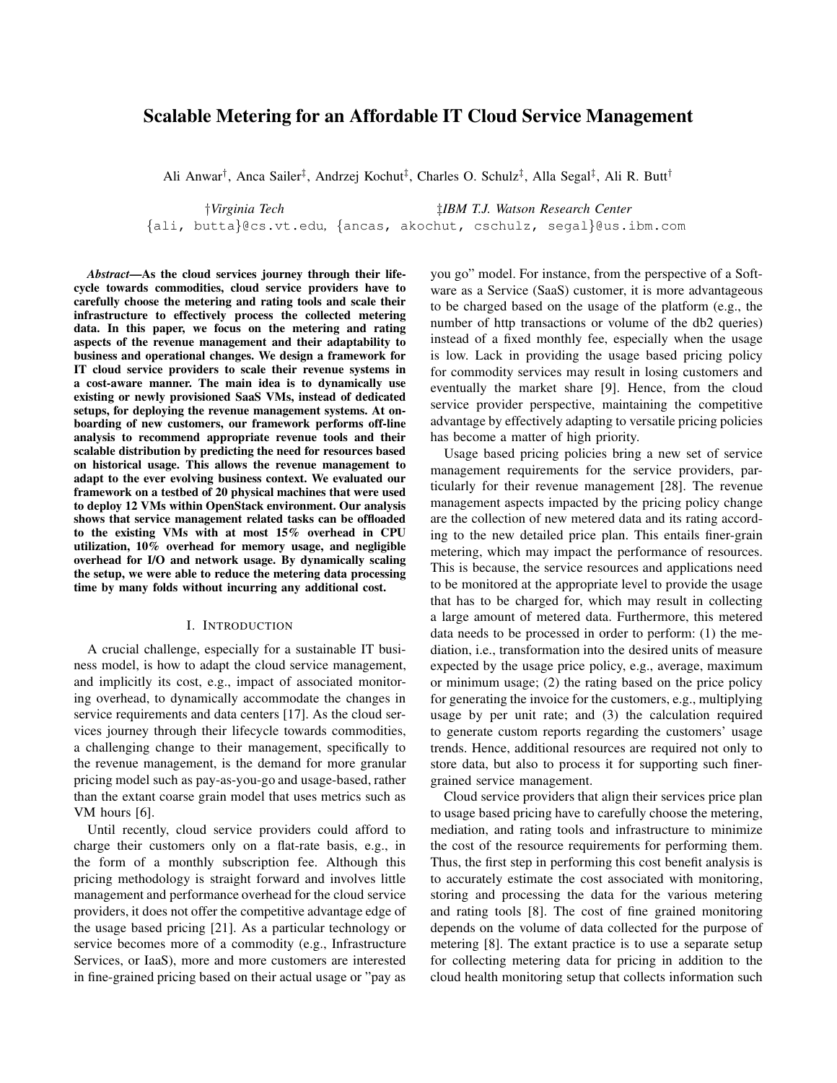# Scalable Metering for an Affordable IT Cloud Service Management

Ali Anwar<sup>†</sup>, Anca Sailer<sup>‡</sup>, Andrzej Kochut<sup>‡</sup>, Charles O. Schulz<sup>‡</sup>, Alla Segal<sup>‡</sup>, Ali R. Butt<sup>†</sup>

†*Virginia Tech* ‡*IBM T.J. Watson Research Center* {ali, butta}@cs.vt.edu*,* {ancas, akochut, cschulz, segal}@us.ibm.com

*Abstract*—As the cloud services journey through their lifecycle towards commodities, cloud service providers have to carefully choose the metering and rating tools and scale their infrastructure to effectively process the collected metering data. In this paper, we focus on the metering and rating aspects of the revenue management and their adaptability to business and operational changes. We design a framework for IT cloud service providers to scale their revenue systems in a cost-aware manner. The main idea is to dynamically use existing or newly provisioned SaaS VMs, instead of dedicated setups, for deploying the revenue management systems. At onboarding of new customers, our framework performs off-line analysis to recommend appropriate revenue tools and their scalable distribution by predicting the need for resources based on historical usage. This allows the revenue management to adapt to the ever evolving business context. We evaluated our framework on a testbed of 20 physical machines that were used to deploy 12 VMs within OpenStack environment. Our analysis shows that service management related tasks can be offloaded to the existing VMs with at most 15% overhead in CPU utilization, 10% overhead for memory usage, and negligible overhead for I/O and network usage. By dynamically scaling the setup, we were able to reduce the metering data processing time by many folds without incurring any additional cost.

## I. INTRODUCTION

A crucial challenge, especially for a sustainable IT business model, is how to adapt the cloud service management, and implicitly its cost, e.g., impact of associated monitoring overhead, to dynamically accommodate the changes in service requirements and data centers [17]. As the cloud services journey through their lifecycle towards commodities, a challenging change to their management, specifically to the revenue management, is the demand for more granular pricing model such as pay-as-you-go and usage-based, rather than the extant coarse grain model that uses metrics such as VM hours [6].

Until recently, cloud service providers could afford to charge their customers only on a flat-rate basis, e.g., in the form of a monthly subscription fee. Although this pricing methodology is straight forward and involves little management and performance overhead for the cloud service providers, it does not offer the competitive advantage edge of the usage based pricing [21]. As a particular technology or service becomes more of a commodity (e.g., Infrastructure Services, or IaaS), more and more customers are interested in fine-grained pricing based on their actual usage or "pay as you go" model. For instance, from the perspective of a Software as a Service (SaaS) customer, it is more advantageous to be charged based on the usage of the platform (e.g., the number of http transactions or volume of the db2 queries) instead of a fixed monthly fee, especially when the usage is low. Lack in providing the usage based pricing policy for commodity services may result in losing customers and eventually the market share [9]. Hence, from the cloud service provider perspective, maintaining the competitive advantage by effectively adapting to versatile pricing policies has become a matter of high priority.

Usage based pricing policies bring a new set of service management requirements for the service providers, particularly for their revenue management [28]. The revenue management aspects impacted by the pricing policy change are the collection of new metered data and its rating according to the new detailed price plan. This entails finer-grain metering, which may impact the performance of resources. This is because, the service resources and applications need to be monitored at the appropriate level to provide the usage that has to be charged for, which may result in collecting a large amount of metered data. Furthermore, this metered data needs to be processed in order to perform: (1) the mediation, i.e., transformation into the desired units of measure expected by the usage price policy, e.g., average, maximum or minimum usage; (2) the rating based on the price policy for generating the invoice for the customers, e.g., multiplying usage by per unit rate; and (3) the calculation required to generate custom reports regarding the customers' usage trends. Hence, additional resources are required not only to store data, but also to process it for supporting such finergrained service management.

Cloud service providers that align their services price plan to usage based pricing have to carefully choose the metering, mediation, and rating tools and infrastructure to minimize the cost of the resource requirements for performing them. Thus, the first step in performing this cost benefit analysis is to accurately estimate the cost associated with monitoring, storing and processing the data for the various metering and rating tools [8]. The cost of fine grained monitoring depends on the volume of data collected for the purpose of metering [8]. The extant practice is to use a separate setup for collecting metering data for pricing in addition to the cloud health monitoring setup that collects information such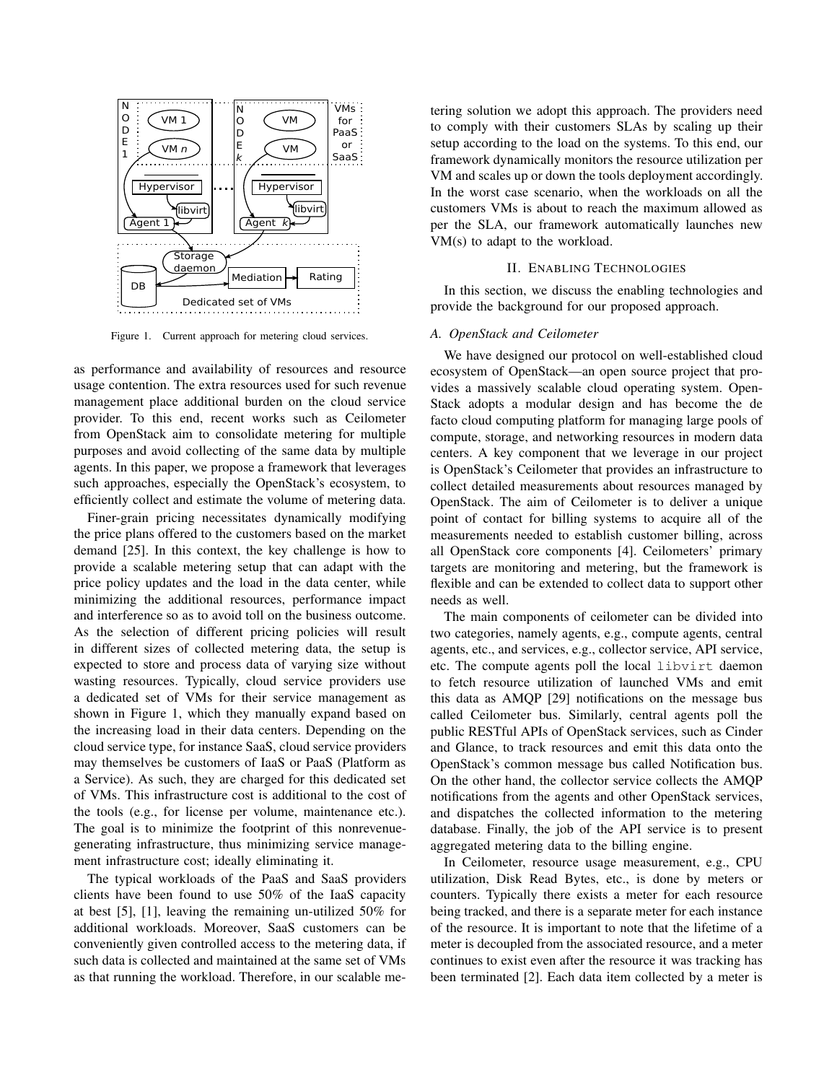

Figure 1. Current approach for metering cloud services.

as performance and availability of resources and resource usage contention. The extra resources used for such revenue management place additional burden on the cloud service provider. To this end, recent works such as Ceilometer from OpenStack aim to consolidate metering for multiple purposes and avoid collecting of the same data by multiple agents. In this paper, we propose a framework that leverages such approaches, especially the OpenStack's ecosystem, to efficiently collect and estimate the volume of metering data.

Finer-grain pricing necessitates dynamically modifying the price plans offered to the customers based on the market demand [25]. In this context, the key challenge is how to provide a scalable metering setup that can adapt with the price policy updates and the load in the data center, while minimizing the additional resources, performance impact and interference so as to avoid toll on the business outcome. As the selection of different pricing policies will result in different sizes of collected metering data, the setup is expected to store and process data of varying size without wasting resources. Typically, cloud service providers use a dedicated set of VMs for their service management as shown in Figure 1, which they manually expand based on the increasing load in their data centers. Depending on the cloud service type, for instance SaaS, cloud service providers may themselves be customers of IaaS or PaaS (Platform as a Service). As such, they are charged for this dedicated set of VMs. This infrastructure cost is additional to the cost of the tools (e.g., for license per volume, maintenance etc.). The goal is to minimize the footprint of this nonrevenuegenerating infrastructure, thus minimizing service management infrastructure cost; ideally eliminating it.

The typical workloads of the PaaS and SaaS providers clients have been found to use 50% of the IaaS capacity at best [5], [1], leaving the remaining un-utilized 50% for additional workloads. Moreover, SaaS customers can be conveniently given controlled access to the metering data, if such data is collected and maintained at the same set of VMs as that running the workload. Therefore, in our scalable metering solution we adopt this approach. The providers need to comply with their customers SLAs by scaling up their setup according to the load on the systems. To this end, our framework dynamically monitors the resource utilization per VM and scales up or down the tools deployment accordingly. In the worst case scenario, when the workloads on all the customers VMs is about to reach the maximum allowed as per the SLA, our framework automatically launches new VM(s) to adapt to the workload.

## II. ENABLING TECHNOLOGIES

In this section, we discuss the enabling technologies and provide the background for our proposed approach.

## *A. OpenStack and Ceilometer*

We have designed our protocol on well-established cloud ecosystem of OpenStack—an open source project that provides a massively scalable cloud operating system. Open-Stack adopts a modular design and has become the de facto cloud computing platform for managing large pools of compute, storage, and networking resources in modern data centers. A key component that we leverage in our project is OpenStack's Ceilometer that provides an infrastructure to collect detailed measurements about resources managed by OpenStack. The aim of Ceilometer is to deliver a unique point of contact for billing systems to acquire all of the measurements needed to establish customer billing, across all OpenStack core components [4]. Ceilometers' primary targets are monitoring and metering, but the framework is flexible and can be extended to collect data to support other needs as well.

The main components of ceilometer can be divided into two categories, namely agents, e.g., compute agents, central agents, etc., and services, e.g., collector service, API service, etc. The compute agents poll the local libvirt daemon to fetch resource utilization of launched VMs and emit this data as AMQP [29] notifications on the message bus called Ceilometer bus. Similarly, central agents poll the public RESTful APIs of OpenStack services, such as Cinder and Glance, to track resources and emit this data onto the OpenStack's common message bus called Notification bus. On the other hand, the collector service collects the AMQP notifications from the agents and other OpenStack services, and dispatches the collected information to the metering database. Finally, the job of the API service is to present aggregated metering data to the billing engine.

In Ceilometer, resource usage measurement, e.g., CPU utilization, Disk Read Bytes, etc., is done by meters or counters. Typically there exists a meter for each resource being tracked, and there is a separate meter for each instance of the resource. It is important to note that the lifetime of a meter is decoupled from the associated resource, and a meter continues to exist even after the resource it was tracking has been terminated [2]. Each data item collected by a meter is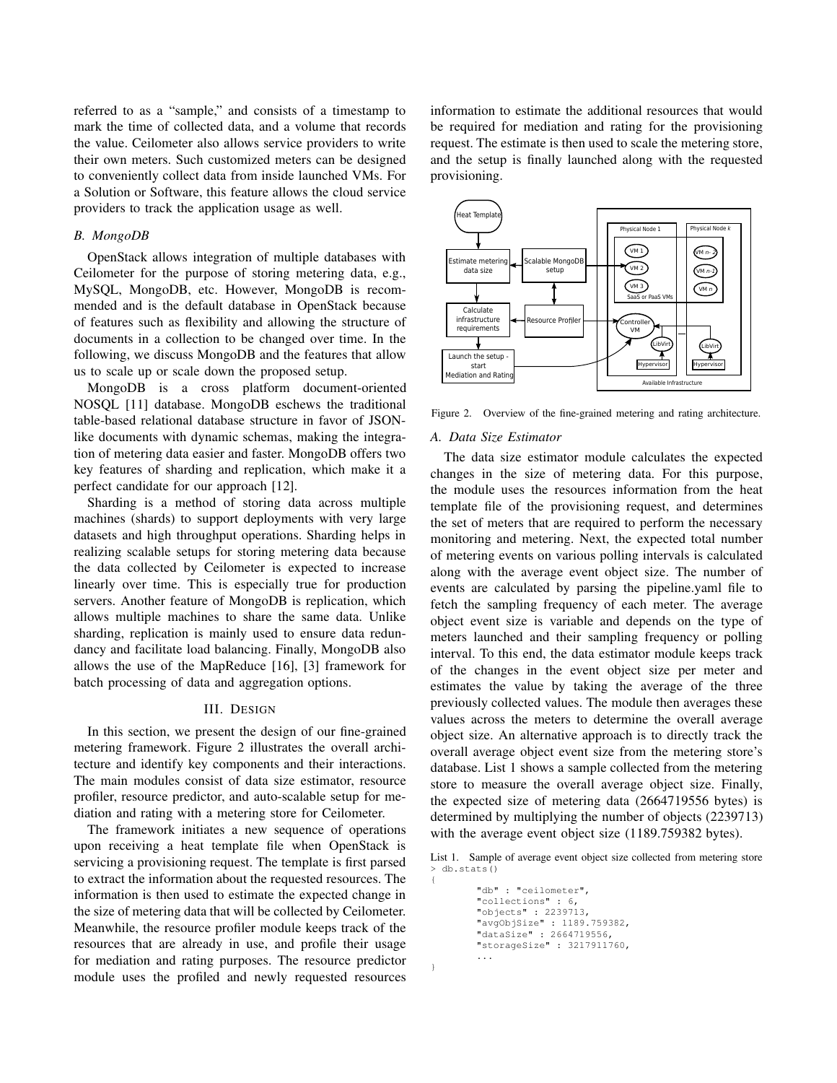referred to as a "sample," and consists of a timestamp to mark the time of collected data, and a volume that records the value. Ceilometer also allows service providers to write their own meters. Such customized meters can be designed to conveniently collect data from inside launched VMs. For a Solution or Software, this feature allows the cloud service providers to track the application usage as well.

#### *B. MongoDB*

OpenStack allows integration of multiple databases with Ceilometer for the purpose of storing metering data, e.g., MySQL, MongoDB, etc. However, MongoDB is recommended and is the default database in OpenStack because of features such as flexibility and allowing the structure of documents in a collection to be changed over time. In the following, we discuss MongoDB and the features that allow us to scale up or scale down the proposed setup.

MongoDB is a cross platform document-oriented NOSQL [11] database. MongoDB eschews the traditional table-based relational database structure in favor of JSONlike documents with dynamic schemas, making the integration of metering data easier and faster. MongoDB offers two key features of sharding and replication, which make it a perfect candidate for our approach [12].

Sharding is a method of storing data across multiple machines (shards) to support deployments with very large datasets and high throughput operations. Sharding helps in realizing scalable setups for storing metering data because the data collected by Ceilometer is expected to increase linearly over time. This is especially true for production servers. Another feature of MongoDB is replication, which allows multiple machines to share the same data. Unlike sharding, replication is mainly used to ensure data redundancy and facilitate load balancing. Finally, MongoDB also allows the use of the MapReduce [16], [3] framework for batch processing of data and aggregation options.

## III. DESIGN

In this section, we present the design of our fine-grained metering framework. Figure 2 illustrates the overall architecture and identify key components and their interactions. The main modules consist of data size estimator, resource profiler, resource predictor, and auto-scalable setup for mediation and rating with a metering store for Ceilometer.

The framework initiates a new sequence of operations upon receiving a heat template file when OpenStack is servicing a provisioning request. The template is first parsed to extract the information about the requested resources. The information is then used to estimate the expected change in the size of metering data that will be collected by Ceilometer. Meanwhile, the resource profiler module keeps track of the resources that are already in use, and profile their usage for mediation and rating purposes. The resource predictor module uses the profiled and newly requested resources information to estimate the additional resources that would be required for mediation and rating for the provisioning request. The estimate is then used to scale the metering store, and the setup is finally launched along with the requested provisioning.



Figure 2. Overview of the fine-grained metering and rating architecture.

#### *A. Data Size Estimator*

The data size estimator module calculates the expected changes in the size of metering data. For this purpose, the module uses the resources information from the heat template file of the provisioning request, and determines the set of meters that are required to perform the necessary monitoring and metering. Next, the expected total number of metering events on various polling intervals is calculated along with the average event object size. The number of events are calculated by parsing the pipeline.yaml file to fetch the sampling frequency of each meter. The average object event size is variable and depends on the type of meters launched and their sampling frequency or polling interval. To this end, the data estimator module keeps track of the changes in the event object size per meter and estimates the value by taking the average of the three previously collected values. The module then averages these values across the meters to determine the overall average object size. An alternative approach is to directly track the overall average object event size from the metering store's database. List 1 shows a sample collected from the metering store to measure the overall average object size. Finally, the expected size of metering data (2664719556 bytes) is determined by multiplying the number of objects (2239713) with the average event object size (1189.759382 bytes).

List 1. Sample of average event object size collected from metering store  $>$  db. stats () db.stats() {

```
"db" : "ceilometer",
"collections" : 6,
"objects" : 2239713,
"avgObjSize" : 1189.759382,
"dataSize" : 2664719556,
"storageSize" : 3217911760,
...
```
}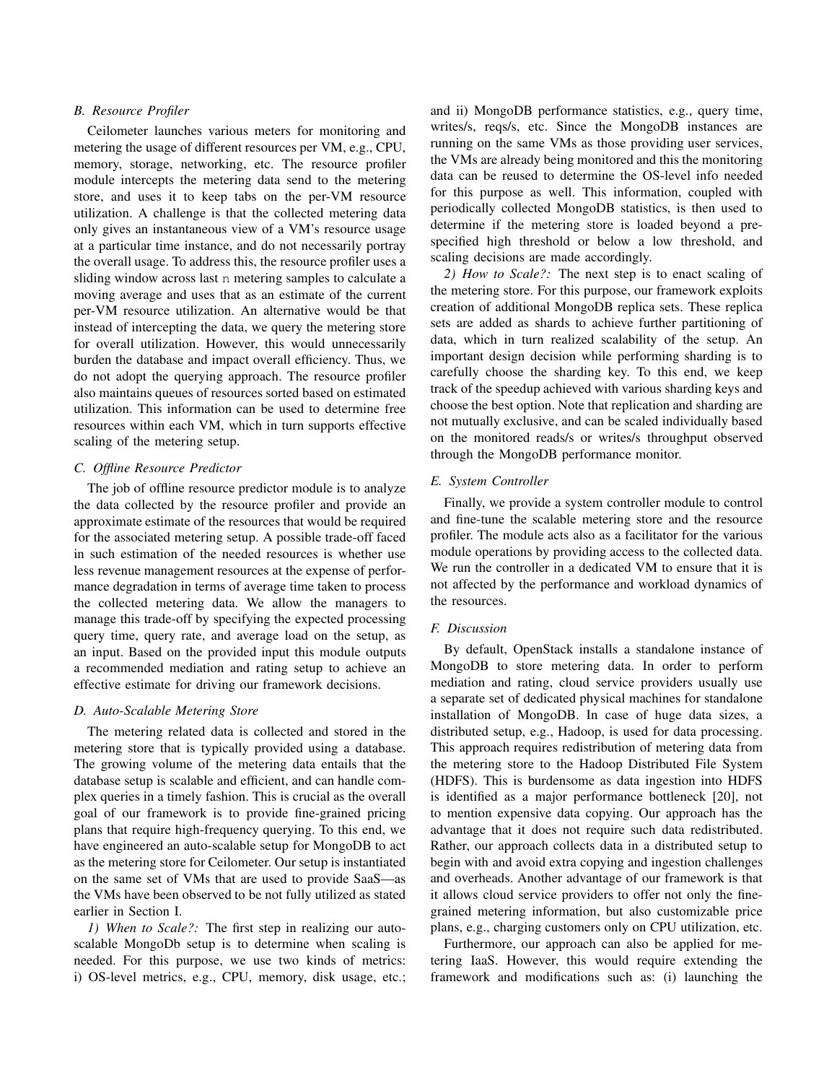## *B. Resource Profiler*

Ceilometer launches various meters for monitoring and metering the usage of different resources per VM, e.g., CPU, memory, storage, networking, etc. The resource profiler module intercepts the metering data send to the metering store, and uses it to keep tabs on the per-VM resource utilization. A challenge is that the collected metering data only gives an instantaneous view of a VM's resource usage at a particular time instance, and do not necessarily portray the overall usage. To address this, the resource profiler uses a sliding window across last n metering samples to calculate a moving average and uses that as an estimate of the current per-VM resource utilization. An alternative would be that instead of intercepting the data, we query the metering store for overall utilization. However, this would unnecessarily burden the database and impact overall efficiency. Thus, we do not adopt the querying approach. The resource profiler also maintains queues of resources sorted based on estimated utilization. This information can be used to determine free resources within each VM, which in turn supports effective scaling of the metering setup.

## *C. Offline Resource Predictor*

The job of offline resource predictor module is to analyze the data collected by the resource profiler and provide an approximate estimate of the resources that would be required for the associated metering setup. A possible trade-off faced in such estimation of the needed resources is whether use less revenue management resources at the expense of performance degradation in terms of average time taken to process the collected metering data. We allow the managers to manage this trade-off by specifying the expected processing query time, query rate, and average load on the setup, as an input. Based on the provided input this module outputs a recommended mediation and rating setup to achieve an effective estimate for driving our framework decisions.

#### *D. Auto-Scalable Metering Store*

The metering related data is collected and stored in the metering store that is typically provided using a database. The growing volume of the metering data entails that the database setup is scalable and efficient, and can handle complex queries in a timely fashion. This is crucial as the overall goal of our framework is to provide fine-grained pricing plans that require high-frequency querying. To this end, we have engineered an auto-scalable setup for MongoDB to act as the metering store for Ceilometer. Our setup is instantiated on the same set of VMs that are used to provide SaaS—as the VMs have been observed to be not fully utilized as stated earlier in Section I.

*1) When to Scale?:* The first step in realizing our autoscalable MongoDb setup is to determine when scaling is needed. For this purpose, we use two kinds of metrics: i) OS-level metrics, e.g., CPU, memory, disk usage, etc.; and ii) MongoDB performance statistics, e.g., query time, writes/s, reqs/s, etc. Since the MongoDB instances are running on the same VMs as those providing user services, the VMs are already being monitored and this the monitoring data can be reused to determine the OS-level info needed for this purpose as well. This information, coupled with periodically collected MongoDB statistics, is then used to determine if the metering store is loaded beyond a prespecified high threshold or below a low threshold, and scaling decisions are made accordingly.

*2) How to Scale?:* The next step is to enact scaling of the metering store. For this purpose, our framework exploits creation of additional MongoDB replica sets. These replica sets are added as shards to achieve further partitioning of data, which in turn realized scalability of the setup. An important design decision while performing sharding is to carefully choose the sharding key. To this end, we keep track of the speedup achieved with various sharding keys and choose the best option. Note that replication and sharding are not mutually exclusive, and can be scaled individually based on the monitored reads/s or writes/s throughput observed through the MongoDB performance monitor.

## *E. System Controller*

Finally, we provide a system controller module to control and fine-tune the scalable metering store and the resource profiler. The module acts also as a facilitator for the various module operations by providing access to the collected data. We run the controller in a dedicated VM to ensure that it is not affected by the performance and workload dynamics of the resources.

## *F. Discussion*

By default, OpenStack installs a standalone instance of MongoDB to store metering data. In order to perform mediation and rating, cloud service providers usually use a separate set of dedicated physical machines for standalone installation of MongoDB. In case of huge data sizes, a distributed setup, e.g., Hadoop, is used for data processing. This approach requires redistribution of metering data from the metering store to the Hadoop Distributed File System (HDFS). This is burdensome as data ingestion into HDFS is identified as a major performance bottleneck [20], not to mention expensive data copying. Our approach has the advantage that it does not require such data redistributed. Rather, our approach collects data in a distributed setup to begin with and avoid extra copying and ingestion challenges and overheads. Another advantage of our framework is that it allows cloud service providers to offer not only the finegrained metering information, but also customizable price plans, e.g., charging customers only on CPU utilization, etc.

Furthermore, our approach can also be applied for metering IaaS. However, this would require extending the framework and modifications such as: (i) launching the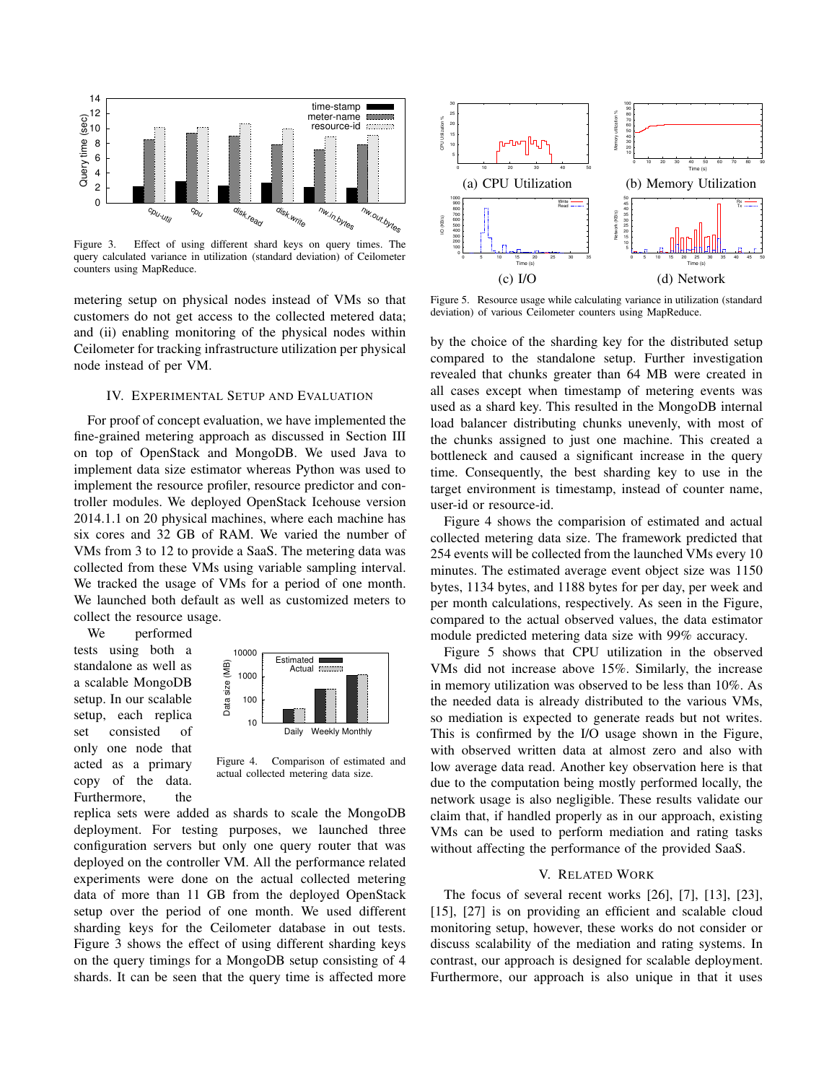

Figure 3. Effect of using different shard keys on query times. The query calculated variance in utilization (standard deviation) of Ceilometer counters using MapReduce.

metering setup on physical nodes instead of VMs so that customers do not get access to the collected metered data; and (ii) enabling monitoring of the physical nodes within Ceilometer for tracking infrastructure utilization per physical node instead of per VM.

## IV. EXPERIMENTAL SETUP AND EVALUATION

For proof of concept evaluation, we have implemented the fine-grained metering approach as discussed in Section III on top of OpenStack and MongoDB. We used Java to implement data size estimator whereas Python was used to implement the resource profiler, resource predictor and controller modules. We deployed OpenStack Icehouse version 2014.1.1 on 20 physical machines, where each machine has six cores and 32 GB of RAM. We varied the number of VMs from 3 to 12 to provide a SaaS. The metering data was collected from these VMs using variable sampling interval. We tracked the usage of VMs for a period of one month. We launched both default as well as customized meters to collect the resource usage.

We performed tests using both a standalone as well as a scalable MongoDB setup. In our scalable setup, each replica set consisted of only one node that acted as a primary copy of the data. Furthermore, the



Figure 4. Comparison of estimated and actual collected metering data size.

replica sets were added as shards to scale the MongoDB deployment. For testing purposes, we launched three configuration servers but only one query router that was deployed on the controller VM. All the performance related experiments were done on the actual collected metering data of more than 11 GB from the deployed OpenStack setup over the period of one month. We used different sharding keys for the Ceilometer database in out tests. Figure 3 shows the effect of using different sharding keys on the query timings for a MongoDB setup consisting of 4 shards. It can be seen that the query time is affected more



Figure 5. Resource usage while calculating variance in utilization (standard deviation) of various Ceilometer counters using MapReduce.

by the choice of the sharding key for the distributed setup compared to the standalone setup. Further investigation revealed that chunks greater than 64 MB were created in all cases except when timestamp of metering events was used as a shard key. This resulted in the MongoDB internal load balancer distributing chunks unevenly, with most of the chunks assigned to just one machine. This created a bottleneck and caused a significant increase in the query time. Consequently, the best sharding key to use in the target environment is timestamp, instead of counter name, user-id or resource-id.

Figure 4 shows the comparision of estimated and actual collected metering data size. The framework predicted that 254 events will be collected from the launched VMs every 10 minutes. The estimated average event object size was 1150 bytes, 1134 bytes, and 1188 bytes for per day, per week and per month calculations, respectively. As seen in the Figure, compared to the actual observed values, the data estimator module predicted metering data size with 99% accuracy.

Figure 5 shows that CPU utilization in the observed VMs did not increase above 15%. Similarly, the increase in memory utilization was observed to be less than 10%. As the needed data is already distributed to the various VMs, so mediation is expected to generate reads but not writes. This is confirmed by the I/O usage shown in the Figure, with observed written data at almost zero and also with low average data read. Another key observation here is that due to the computation being mostly performed locally, the network usage is also negligible. These results validate our claim that, if handled properly as in our approach, existing VMs can be used to perform mediation and rating tasks without affecting the performance of the provided SaaS.

#### V. RELATED WORK

The focus of several recent works [26], [7], [13], [23], [15], [27] is on providing an efficient and scalable cloud monitoring setup, however, these works do not consider or discuss scalability of the mediation and rating systems. In contrast, our approach is designed for scalable deployment. Furthermore, our approach is also unique in that it uses